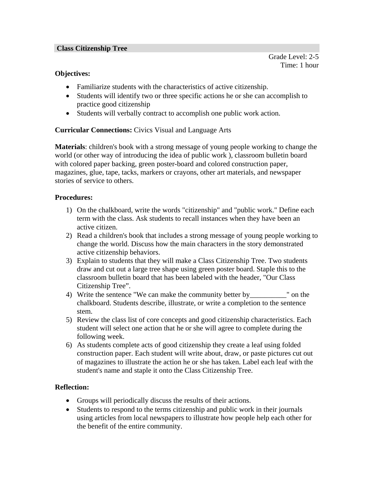#### **Class Citizenship Tree**

Grade Level: 2-5 Time: 1 hour

#### **Objectives:**

- Familiarize students with the characteristics of active citizenship.
- Students will identify two or three specific actions he or she can accomplish to practice good citizenship
- Students will verbally contract to accomplish one public work action.

## **Curricular Connections:** Civics Visual and Language Arts

**Materials**: children's book with a strong message of young people working to change the world (or other way of introducing the idea of public work ), classroom bulletin board with colored paper backing, green poster-board and colored construction paper, magazines, glue, tape, tacks, markers or crayons, other art materials, and newspaper stories of service to others.

### **Procedures:**

- 1) On the chalkboard, write the words "citizenship" and "public work." Define each term with the class. Ask students to recall instances when they have been an active citizen.
- 2) Read a children's book that includes a strong message of young people working to change the world. Discuss how the main characters in the story demonstrated active citizenship behaviors.
- 3) Explain to students that they will make a Class Citizenship Tree. Two students draw and cut out a large tree shape using green poster board. Staple this to the classroom bulletin board that has been labeled with the header, "Our Class Citizenship Tree".
- 4) Write the sentence "We can make the community better by write the sentence of the community better by chalkboard. Students describe, illustrate, or write a completion to the sentence stem.
- 5) Review the class list of core concepts and good citizenship characteristics. Each student will select one action that he or she will agree to complete during the following week.
- 6) As students complete acts of good citizenship they create a leaf using folded construction paper. Each student will write about, draw, or paste pictures cut out of magazines to illustrate the action he or she has taken. Label each leaf with the student's name and staple it onto the Class Citizenship Tree.

## **Reflection:**

- Groups will periodically discuss the results of their actions.
- Students to respond to the terms citizenship and public work in their journals using articles from local newspapers to illustrate how people help each other for the benefit of the entire community.